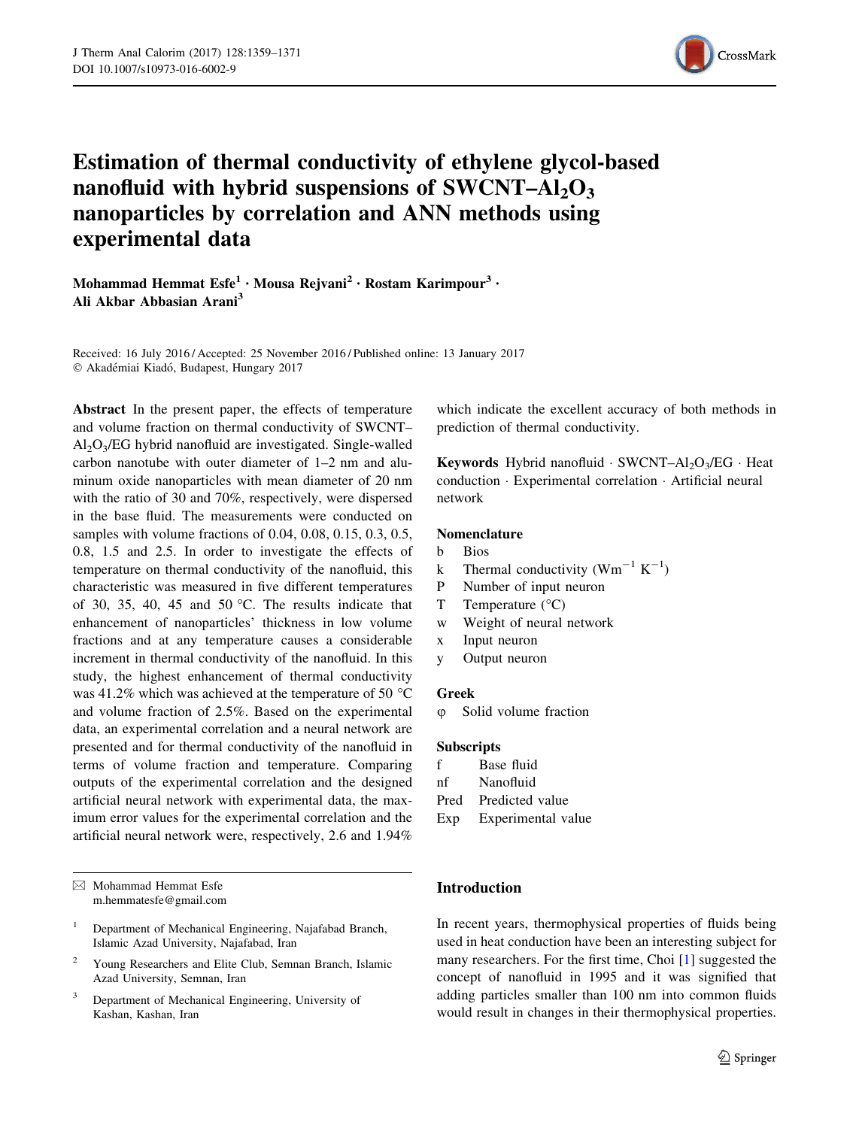

# Estimation of thermal conductivity of ethylene glycol-based nanofluid with hybrid suspensions of  $SWCNT-Al_2O_3$ nanoparticles by correlation and ANN methods using experimental data

Mohammad Hemmat Esfe<sup>1</sup> · Mousa Rejvani<sup>2</sup> · Rostam Karimpour<sup>3</sup> · Ali Akbar Abbasian Arani<sup>3</sup>

Received: 16 July 2016 / Accepted: 25 November 2016 / Published online: 13 January 2017 © Akadémiai Kiadó, Budapest, Hungary 2017

Abstract In the present paper, the effects of temperature and volume fraction on thermal conductivity of SWCNT–  $Al_2O_3/EG$  hybrid nanofluid are investigated. Single-walled carbon nanotube with outer diameter of 1–2 nm and aluminum oxide nanoparticles with mean diameter of 20 nm with the ratio of 30 and 70%, respectively, were dispersed in the base fluid. The measurements were conducted on samples with volume fractions of 0.04, 0.08, 0.15, 0.3, 0.5, 0.8, 1.5 and 2.5. In order to investigate the effects of temperature on thermal conductivity of the nanofluid, this characteristic was measured in five different temperatures of 30, 35, 40, 45 and 50  $^{\circ}$ C. The results indicate that enhancement of nanoparticles' thickness in low volume fractions and at any temperature causes a considerable increment in thermal conductivity of the nanofluid. In this study, the highest enhancement of thermal conductivity was 41.2% which was achieved at the temperature of 50  $^{\circ}$ C and volume fraction of 2.5%. Based on the experimental data, an experimental correlation and a neural network are presented and for thermal conductivity of the nanofluid in terms of volume fraction and temperature. Comparing outputs of the experimental correlation and the designed artificial neural network with experimental data, the maximum error values for the experimental correlation and the artificial neural network were, respectively, 2.6 and 1.94%

- <sup>2</sup> Young Researchers and Elite Club, Semnan Branch, Islamic Azad University, Semnan, Iran
- <sup>3</sup> Department of Mechanical Engineering, University of Kashan, Kashan, Iran

which indicate the excellent accuracy of both methods in prediction of thermal conductivity.

**Keywords** Hybrid nanofluid  $\cdot$  SWCNT-Al<sub>2</sub>O<sub>3</sub>/EG  $\cdot$  Heat conduction - Experimental correlation - Artificial neural network

# Nomenclature

- b Bios
- k Thermal conductivity  $(Wm^{-1} K^{-1})$
- P Number of input neuron
- $T$  Temperature ( $^{\circ}$ C)
- w Weight of neural network
- x Input neuron
- y Output neuron

### Greek

 $\varphi$  Solid volume fraction

### **Subscripts**

- f Base fluid
- nf Nanofluid
- Pred Predicted value
- Exp Experimental value

# Introduction

In recent years, thermophysical properties of fluids being used in heat conduction have been an interesting subject for many researchers. For the first time, Choi [\[1\]](#page-10-0) suggested the concept of nanofluid in 1995 and it was signified that adding particles smaller than 100 nm into common fluids would result in changes in their thermophysical properties.

<sup>&</sup>amp; Mohammad Hemmat Esfe m.hemmatesfe@gmail.com

<sup>&</sup>lt;sup>1</sup> Department of Mechanical Engineering, Najafabad Branch, Islamic Azad University, Najafabad, Iran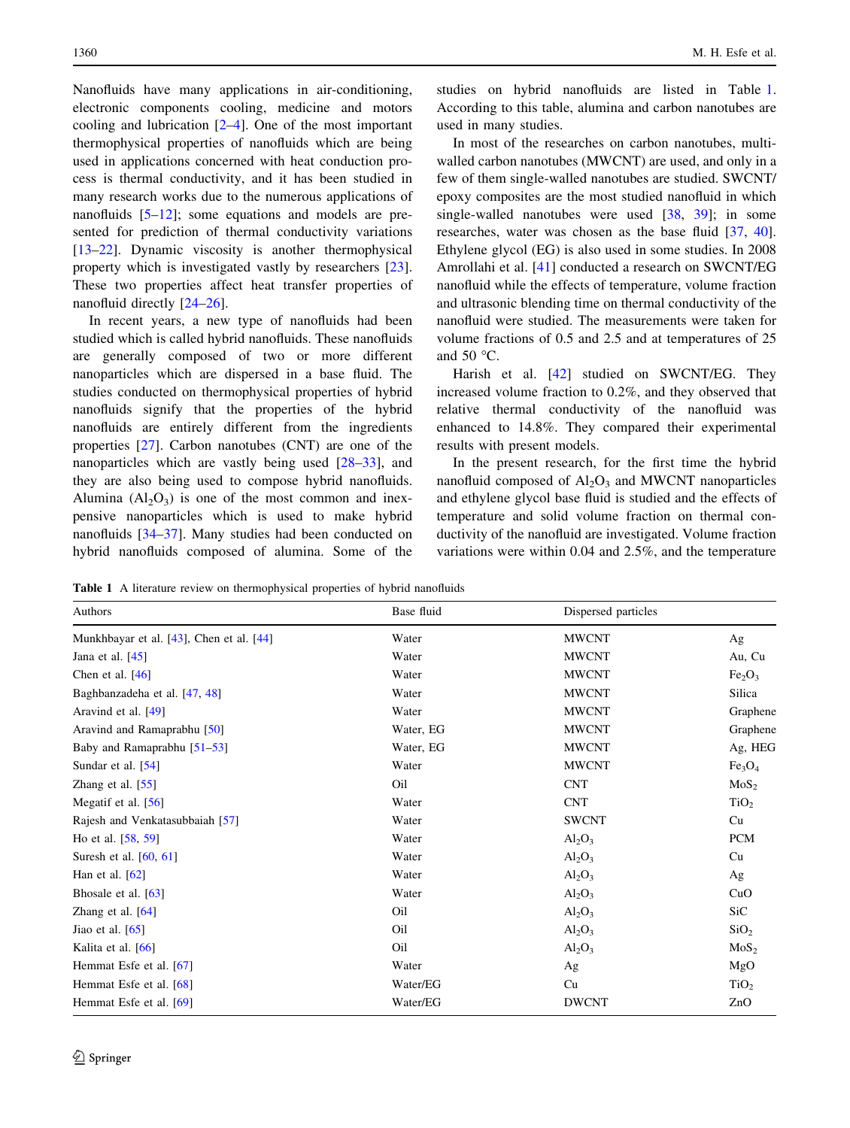Nanofluids have many applications in air-conditioning, electronic components cooling, medicine and motors cooling and lubrication [[2–4\]](#page-10-0). One of the most important thermophysical properties of nanofluids which are being used in applications concerned with heat conduction process is thermal conductivity, and it has been studied in many research works due to the numerous applications of nanofluids [\[5–12](#page-10-0)]; some equations and models are presented for prediction of thermal conductivity variations [\[13–22](#page-10-0)]. Dynamic viscosity is another thermophysical property which is investigated vastly by researchers [\[23](#page-10-0)]. These two properties affect heat transfer properties of nanofluid directly [\[24](#page-10-0)[–26](#page-11-0)].

In recent years, a new type of nanofluids had been studied which is called hybrid nanofluids. These nanofluids are generally composed of two or more different nanoparticles which are dispersed in a base fluid. The studies conducted on thermophysical properties of hybrid nanofluids signify that the properties of the hybrid nanofluids are entirely different from the ingredients properties [[27\]](#page-11-0). Carbon nanotubes (CNT) are one of the nanoparticles which are vastly being used [[28–33\]](#page-11-0), and they are also being used to compose hybrid nanofluids. Alumina  $(AI_2O_3)$  is one of the most common and inexpensive nanoparticles which is used to make hybrid nanofluids [[34–37\]](#page-11-0). Many studies had been conducted on hybrid nanofluids composed of alumina. Some of the studies on hybrid nanofluids are listed in Table 1. According to this table, alumina and carbon nanotubes are used in many studies.

In most of the researches on carbon nanotubes, multiwalled carbon nanotubes (MWCNT) are used, and only in a few of them single-walled nanotubes are studied. SWCNT/ epoxy composites are the most studied nanofluid in which single-walled nanotubes were used [\[38](#page-11-0), [39](#page-11-0)]; in some researches, water was chosen as the base fluid [\[37,](#page-11-0) [40](#page-11-0)]. Ethylene glycol (EG) is also used in some studies. In 2008 Amrollahi et al. [\[41](#page-11-0)] conducted a research on SWCNT/EG nanofluid while the effects of temperature, volume fraction and ultrasonic blending time on thermal conductivity of the nanofluid were studied. The measurements were taken for volume fractions of 0.5 and 2.5 and at temperatures of 25 and 50 $\degree$ C.

Harish et al. [\[42](#page-11-0)] studied on SWCNT/EG. They increased volume fraction to 0.2%, and they observed that relative thermal conductivity of the nanofluid was enhanced to 14.8%. They compared their experimental results with present models.

In the present research, for the first time the hybrid nanofluid composed of  $Al_2O_3$  and MWCNT nanoparticles and ethylene glycol base fluid is studied and the effects of temperature and solid volume fraction on thermal conductivity of the nanofluid are investigated. Volume fraction variations were within 0.04 and 2.5%, and the temperature

Table 1 A literature review on thermophysical properties of hybrid nanofluids

| Base fluid<br>Authors                                  | Dispersed particles            |                                |
|--------------------------------------------------------|--------------------------------|--------------------------------|
| Munkhbayar et al. $[43]$ , Chen et al. $[44]$<br>Water | <b>MWCNT</b>                   | Ag                             |
| Jana et al. $[45]$<br>Water                            | <b>MWCNT</b>                   | Au, Cu                         |
| Water<br>Chen et al. $[46]$                            | <b>MWCNT</b>                   | Fe <sub>2</sub> O <sub>3</sub> |
| Baghbanzadeha et al. [47, 48]<br>Water                 | <b>MWCNT</b>                   | Silica                         |
| Aravind et al. [49]<br>Water                           | <b>MWCNT</b>                   | Graphene                       |
| Water, EG<br>Aravind and Ramaprabhu [50]               | <b>MWCNT</b>                   | Graphene                       |
| Baby and Ramaprabhu [51–53]<br>Water, EG               | <b>MWCNT</b>                   | Ag, HEG                        |
| Water<br>Sundar et al. $[54]$                          | <b>MWCNT</b>                   | Fe <sub>3</sub> O <sub>4</sub> |
| Oil<br>Zhang et al. $[55]$                             | <b>CNT</b>                     | MoS <sub>2</sub>               |
| Megatif et al. $[56]$<br>Water                         | <b>CNT</b>                     | TiO <sub>2</sub>               |
| Rajesh and Venkatasubbaiah [57]<br>Water               | <b>SWCNT</b>                   | Cu                             |
| Water<br>Ho et al. $[58, 59]$                          | $Al_2O_3$                      | <b>PCM</b>                     |
| Suresh et al. $[60, 61]$<br>Water                      | $Al_2O_3$                      | Cu                             |
| Han et al. $[62]$<br>Water                             | $Al_2O_3$                      | Ag                             |
| Bhosale et al. $[63]$<br>Water                         | Al <sub>2</sub> O <sub>3</sub> | CuO                            |
| Oil<br>Zhang et al. $[64]$                             | Al <sub>2</sub> O <sub>3</sub> | SiC                            |
| Oil<br>Jiao et al. $[65]$                              | Al <sub>2</sub> O <sub>3</sub> | SiO <sub>2</sub>               |
| Oil<br>Kalita et al. [66]                              | Al <sub>2</sub> O <sub>3</sub> | MoS <sub>2</sub>               |
| Hemmat Esfe et al. [67]<br>Water                       | Ag                             | MgO                            |
| Hemmat Esfe et al. [68]<br>Water/EG                    | Cu                             | TiO <sub>2</sub>               |
| Hemmat Esfe et al. [69]<br>Water/EG                    | <b>DWCNT</b>                   | ZnO                            |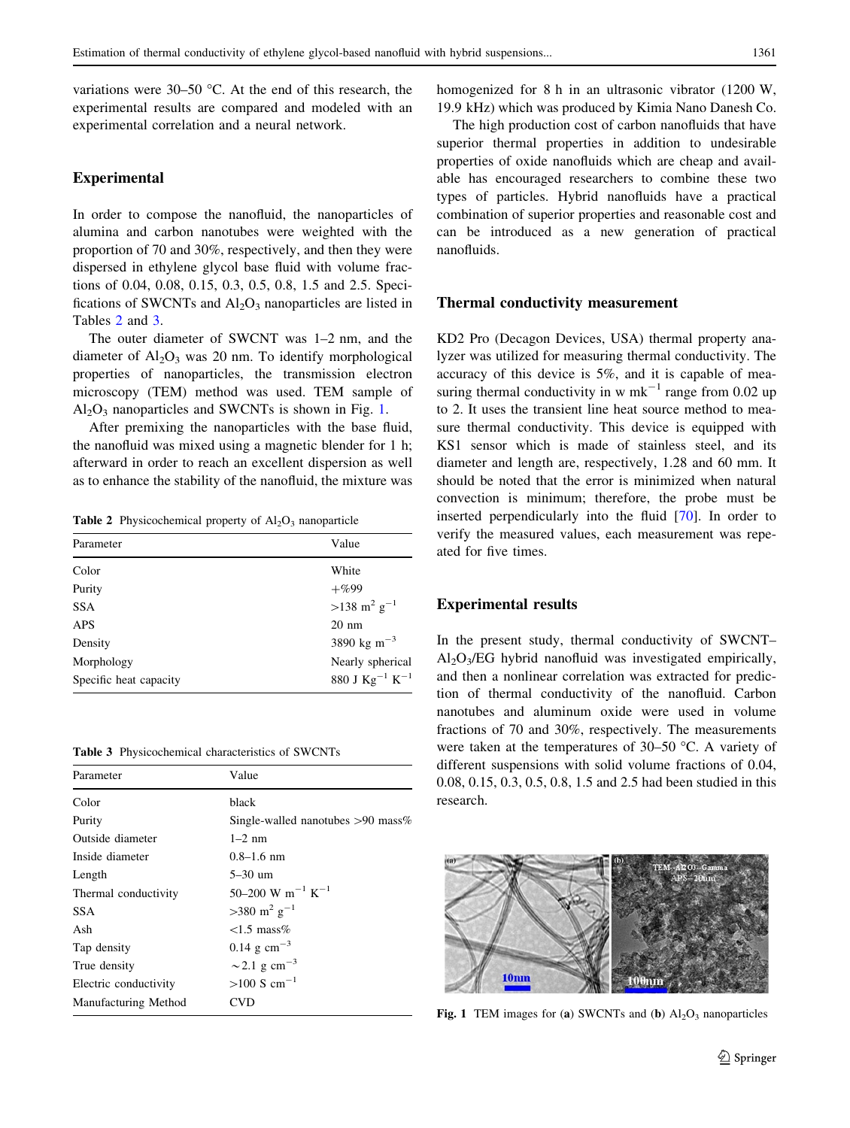variations were  $30-50$  °C. At the end of this research, the experimental results are compared and modeled with an experimental correlation and a neural network.

# Experimental

In order to compose the nanofluid, the nanoparticles of alumina and carbon nanotubes were weighted with the proportion of 70 and 30%, respectively, and then they were dispersed in ethylene glycol base fluid with volume fractions of 0.04, 0.08, 0.15, 0.3, 0.5, 0.8, 1.5 and 2.5. Specifications of SWCNTs and  $Al_2O_3$  nanoparticles are listed in Tables 2 and 3.

The outer diameter of SWCNT was 1–2 nm, and the diameter of  $Al_2O_3$  was 20 nm. To identify morphological properties of nanoparticles, the transmission electron microscopy (TEM) method was used. TEM sample of  $Al_2O_3$  nanoparticles and SWCNTs is shown in Fig. 1.

After premixing the nanoparticles with the base fluid, the nanofluid was mixed using a magnetic blender for 1 h; afterward in order to reach an excellent dispersion as well as to enhance the stability of the nanofluid, the mixture was

**Table 2** Physicochemical property of  $\text{Al}_2\text{O}_3$  nanoparticle

| Parameter              | Value                                  |
|------------------------|----------------------------------------|
| Color                  | White                                  |
| Purity                 | $+%99$                                 |
| <b>SSA</b>             | $>138$ m <sup>2</sup> g <sup>-1</sup>  |
| APS                    | $20 \text{ nm}$                        |
| Density                | 3890 kg m <sup><math>-3</math></sup>   |
| Morphology             | Nearly spherical                       |
| Specific heat capacity | 880 J $\text{Kg}^{-1}$ K <sup>-1</sup> |

|  | <b>Table 3</b> Physicochemical characteristics of SWCNTs |  |  |  |
|--|----------------------------------------------------------|--|--|--|
|--|----------------------------------------------------------|--|--|--|

| Parameter             | Value                                    |
|-----------------------|------------------------------------------|
| Color                 | black                                    |
| Purity                | Single-walled nanotubes $>90$ mass%      |
| Outside diameter      | $1-2$ nm                                 |
| Inside diameter       | $0.8 - 1.6$ nm                           |
| Length                | 5–30 um                                  |
| Thermal conductivity  | 50–200 W m <sup>-1</sup> K <sup>-1</sup> |
| SSA.                  | $>380 \text{ m}^2 \text{ g}^{-1}$        |
| Ash                   | $<$ 1.5 mass $%$                         |
| Tap density           | $0.14~{\rm g~cm^{-3}}$                   |
| True density          | $\sim$ 2.1 g cm <sup>-3</sup>            |
| Electric conductivity | $>100 S cm^{-1}$                         |
| Manufacturing Method  | CVD                                      |

homogenized for 8 h in an ultrasonic vibrator (1200 W, 19.9 kHz) which was produced by Kimia Nano Danesh Co.

The high production cost of carbon nanofluids that have superior thermal properties in addition to undesirable properties of oxide nanofluids which are cheap and available has encouraged researchers to combine these two types of particles. Hybrid nanofluids have a practical combination of superior properties and reasonable cost and can be introduced as a new generation of practical nanofluids.

## Thermal conductivity measurement

KD2 Pro (Decagon Devices, USA) thermal property analyzer was utilized for measuring thermal conductivity. The accuracy of this device is 5%, and it is capable of measuring thermal conductivity in w mk<sup> $-1$ </sup> range from 0.02 up to 2. It uses the transient line heat source method to measure thermal conductivity. This device is equipped with KS1 sensor which is made of stainless steel, and its diameter and length are, respectively, 1.28 and 60 mm. It should be noted that the error is minimized when natural convection is minimum; therefore, the probe must be inserted perpendicularly into the fluid [[70\]](#page-12-0). In order to verify the measured values, each measurement was repeated for five times.

## Experimental results

In the present study, thermal conductivity of SWCNT–  $Al_2O_3/EG$  hybrid nanofluid was investigated empirically, and then a nonlinear correlation was extracted for prediction of thermal conductivity of the nanofluid. Carbon nanotubes and aluminum oxide were used in volume fractions of 70 and 30%, respectively. The measurements were taken at the temperatures of  $30-50$  °C. A variety of different suspensions with solid volume fractions of 0.04, 0.08, 0.15, 0.3, 0.5, 0.8, 1.5 and 2.5 had been studied in this research.



Fig. 1 TEM images for (a) SWCNTs and (b)  $\text{Al}_2\text{O}_3$  nanoparticles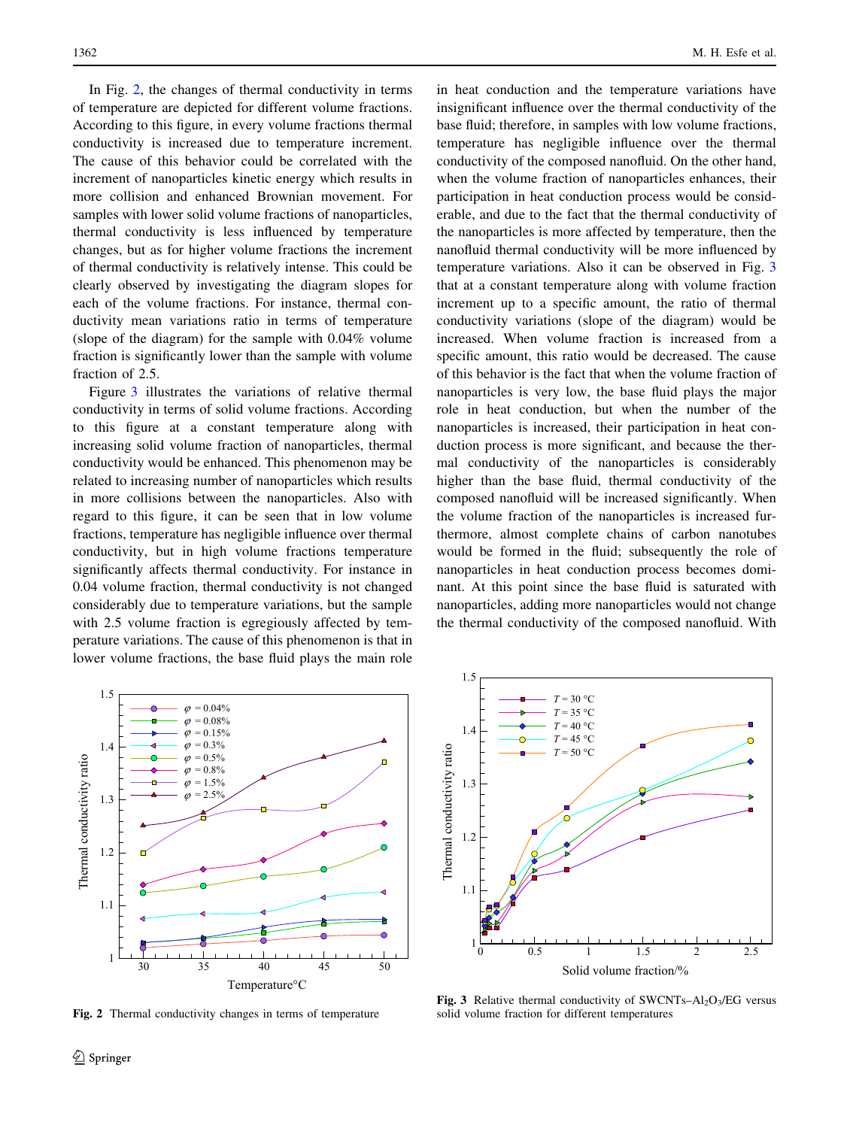In Fig. 2, the changes of thermal conductivity in terms of temperature are depicted for different volume fractions. According to this figure, in every volume fractions thermal conductivity is increased due to temperature increment. The cause of this behavior could be correlated with the increment of nanoparticles kinetic energy which results in more collision and enhanced Brownian movement. For samples with lower solid volume fractions of nanoparticles, thermal conductivity is less influenced by temperature changes, but as for higher volume fractions the increment of thermal conductivity is relatively intense. This could be clearly observed by investigating the diagram slopes for each of the volume fractions. For instance, thermal conductivity mean variations ratio in terms of temperature (slope of the diagram) for the sample with 0.04% volume fraction is significantly lower than the sample with volume fraction of 2.5.

Figure 3 illustrates the variations of relative thermal conductivity in terms of solid volume fractions. According to this figure at a constant temperature along with increasing solid volume fraction of nanoparticles, thermal conductivity would be enhanced. This phenomenon may be related to increasing number of nanoparticles which results in more collisions between the nanoparticles. Also with regard to this figure, it can be seen that in low volume fractions, temperature has negligible influence over thermal conductivity, but in high volume fractions temperature significantly affects thermal conductivity. For instance in 0.04 volume fraction, thermal conductivity is not changed considerably due to temperature variations, but the sample with 2.5 volume fraction is egregiously affected by temperature variations. The cause of this phenomenon is that in lower volume fractions, the base fluid plays the main role



Fig. 2 Thermal conductivity changes in terms of temperature

in heat conduction and the temperature variations have insignificant influence over the thermal conductivity of the base fluid; therefore, in samples with low volume fractions, temperature has negligible influence over the thermal conductivity of the composed nanofluid. On the other hand, when the volume fraction of nanoparticles enhances, their participation in heat conduction process would be considerable, and due to the fact that the thermal conductivity of the nanoparticles is more affected by temperature, then the nanofluid thermal conductivity will be more influenced by temperature variations. Also it can be observed in Fig. 3 that at a constant temperature along with volume fraction increment up to a specific amount, the ratio of thermal conductivity variations (slope of the diagram) would be increased. When volume fraction is increased from a specific amount, this ratio would be decreased. The cause of this behavior is the fact that when the volume fraction of nanoparticles is very low, the base fluid plays the major role in heat conduction, but when the number of the nanoparticles is increased, their participation in heat conduction process is more significant, and because the thermal conductivity of the nanoparticles is considerably higher than the base fluid, thermal conductivity of the composed nanofluid will be increased significantly. When the volume fraction of the nanoparticles is increased furthermore, almost complete chains of carbon nanotubes would be formed in the fluid; subsequently the role of nanoparticles in heat conduction process becomes dominant. At this point since the base fluid is saturated with nanoparticles, adding more nanoparticles would not change the thermal conductivity of the composed nanofluid. With



Fig. 3 Relative thermal conductivity of SWCNTs–Al<sub>2</sub>O<sub>3</sub>/EG versus solid volume fraction for different temperatures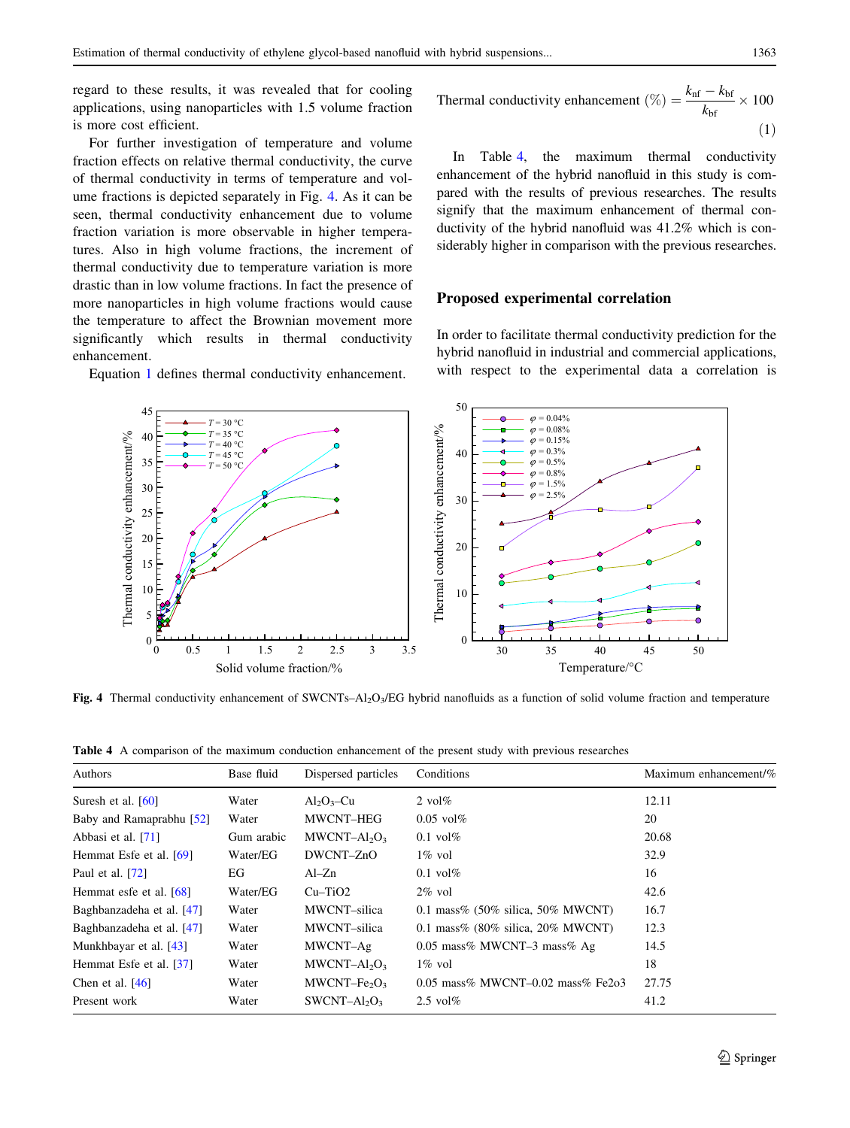regard to these results, it was revealed that for cooling applications, using nanoparticles with 1.5 volume fraction is more cost efficient.

For further investigation of temperature and volume fraction effects on relative thermal conductivity, the curve of thermal conductivity in terms of temperature and volume fractions is depicted separately in Fig. 4. As it can be seen, thermal conductivity enhancement due to volume fraction variation is more observable in higher temperatures. Also in high volume fractions, the increment of thermal conductivity due to temperature variation is more drastic than in low volume fractions. In fact the presence of more nanoparticles in high volume fractions would cause the temperature to affect the Brownian movement more significantly which results in thermal conductivity enhancement.

Equation 1 defines thermal conductivity enhancement.

Thermal conductivity enhancement (
$$
\%
$$
) =  $\frac{k_{\text{nf}} - k_{\text{bf}}}{k_{\text{bf}}} \times 100$  (1)

In Table 4, the maximum thermal conductivity enhancement of the hybrid nanofluid in this study is compared with the results of previous researches. The results signify that the maximum enhancement of thermal conductivity of the hybrid nanofluid was 41.2% which is considerably higher in comparison with the previous researches.

## Proposed experimental correlation

In order to facilitate thermal conductivity prediction for the hybrid nanofluid in industrial and commercial applications, with respect to the experimental data a correlation is



Fig. 4 Thermal conductivity enhancement of SWCNTs–Al<sub>2</sub>O<sub>3</sub>/EG hybrid nanofluids as a function of solid volume fraction and temperature

|  |  |  |  |  |  |  | <b>Table 4</b> A comparison of the maximum conduction enhancement of the present study with previous researches |  |  |  |  |  |  |  |
|--|--|--|--|--|--|--|-----------------------------------------------------------------------------------------------------------------|--|--|--|--|--|--|--|
|--|--|--|--|--|--|--|-----------------------------------------------------------------------------------------------------------------|--|--|--|--|--|--|--|

| Authors                   | Base fluid | Dispersed particles                  | Conditions                                            | Maximum enhancement/% |
|---------------------------|------------|--------------------------------------|-------------------------------------------------------|-----------------------|
| Suresh et al. $[60]$      | Water      | $Al_2O_3$ -Cu                        | $2 \text{ vol%}$                                      | 12.11                 |
| Baby and Ramaprabhu [52]  | Water      | MWCNT-HEG                            | $0.05$ vol $%$                                        | 20                    |
| Abbasi et al. [71]        | Gum arabic | MWCNT–Al <sub>2</sub> O <sub>3</sub> | $0.1$ vol $\%$                                        | 20.68                 |
| Hemmat Esfe et al. [69]   | Water/EG   | DWCNT-ZnO                            | $1\%$ vol                                             | 32.9                  |
| Paul et al. [72]          | EG         | $Al-Zn$                              | $0.1$ vol $%$                                         | 16                    |
| Hemmat esfe et al. $[68]$ | Water/EG   | $Cu-TiO2$                            | $2\%$ vol                                             | 42.6                  |
| Baghbanzadeha et al. [47] | Water      | MWCNT-silica                         | 0.1 mass% $(50\% \text{ silica}, 50\% \text{ MWCNT})$ | 16.7                  |
| Baghbanzadeha et al. [47] | Water      | MWCNT-silica                         | 0.1 mass% $(80\% \text{ silica}, 20\% \text{ MWCNT})$ | 12.3                  |
| Munkhbayar et al. [43]    | Water      | MWCNT-Ag                             | $0.05$ mass% MWCNT-3 mass% Ag                         | 14.5                  |
| Hemmat Esfe et al. [37]   | Water      | MWCNT–Al <sub>2</sub> O <sub>3</sub> | $1\%$ vol                                             | 18                    |
| Chen et al. $[46]$        | Water      | MWCNT–Fe <sub>2</sub> O <sub>3</sub> | $0.05$ mass% MWCNT-0.02 mass% Fe2o3                   | 27.75                 |
| Present work              | Water      | SWCNT–Al <sub>2</sub> O <sub>3</sub> | $2.5 \text{ vol%}$                                    | 41.2                  |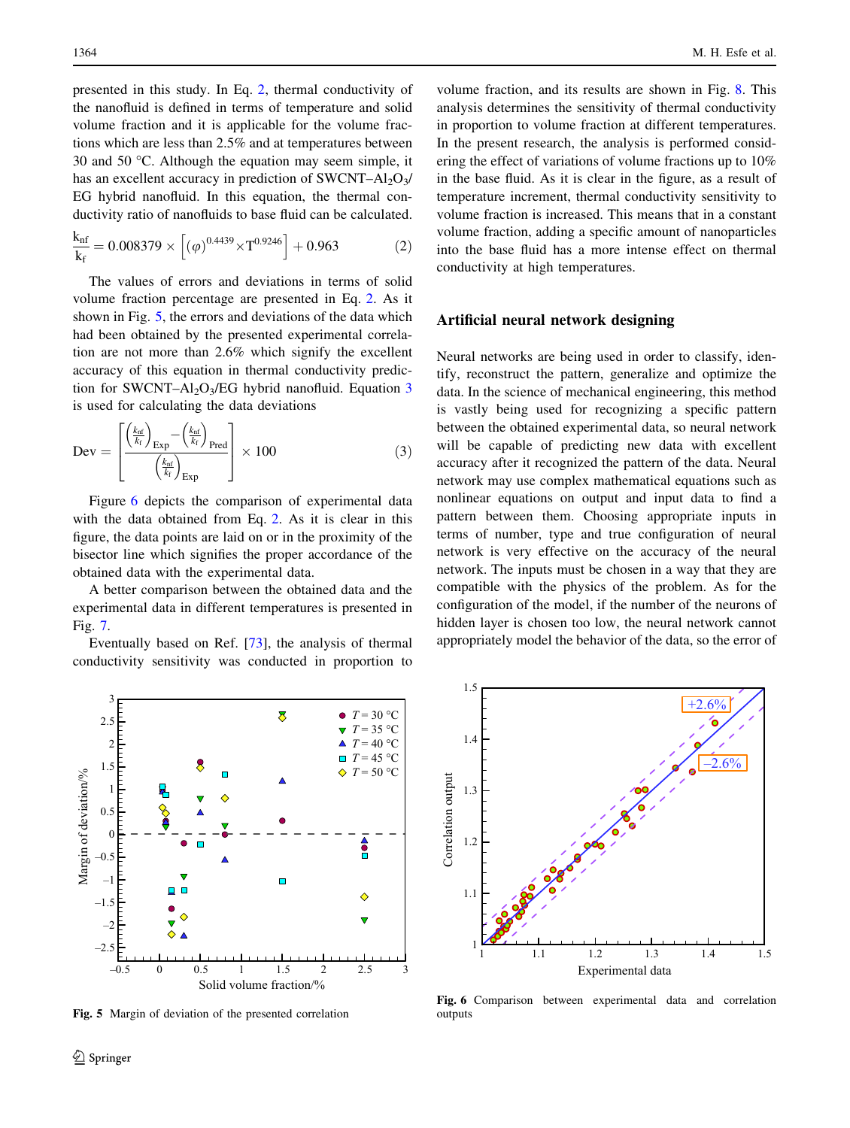<span id="page-5-0"></span>presented in this study. In Eq. 2, thermal conductivity of the nanofluid is defined in terms of temperature and solid volume fraction and it is applicable for the volume fractions which are less than 2.5% and at temperatures between 30 and 50  $^{\circ}$ C. Although the equation may seem simple, it has an excellent accuracy in prediction of SWCNT– $Al_2O_3/$ EG hybrid nanofluid. In this equation, the thermal conductivity ratio of nanofluids to base fluid can be calculated.

$$
\frac{k_{\rm nf}}{k_{\rm f}} = 0.008379 \times \left[ (\varphi)^{0.4439} \times T^{0.9246} \right] + 0.963 \tag{2}
$$

The values of errors and deviations in terms of solid volume fraction percentage are presented in Eq. 2. As it shown in Fig. 5, the errors and deviations of the data which had been obtained by the presented experimental correlation are not more than 2.6% which signify the excellent accuracy of this equation in thermal conductivity prediction for SWCNT–Al<sub>2</sub>O<sub>3</sub>/EG hybrid nanofluid. Equation  $3$ is used for calculating the data deviations

$$
\text{Dev} = \frac{\left[\frac{\left(\frac{k_{\text{nf}}}{k_{\text{f}}}\right)_{\text{Exp}} - \left(\frac{k_{\text{nf}}}{k_{\text{f}}}\right)_{\text{Pred}}}{\left(\frac{k_{\text{nf}}}{k_{\text{f}}}\right)_{\text{Exp}}}\right] \times 100\tag{3}
$$

Figure 6 depicts the comparison of experimental data with the data obtained from Eq. 2. As it is clear in this figure, the data points are laid on or in the proximity of the bisector line which signifies the proper accordance of the obtained data with the experimental data.

A better comparison between the obtained data and the experimental data in different temperatures is presented in Fig. [7](#page-6-0).

Eventually based on Ref. [\[73](#page-12-0)], the analysis of thermal conductivity sensitivity was conducted in proportion to

volume fraction, and its results are shown in Fig. [8](#page-7-0). This analysis determines the sensitivity of thermal conductivity in proportion to volume fraction at different temperatures. In the present research, the analysis is performed considering the effect of variations of volume fractions up to 10% in the base fluid. As it is clear in the figure, as a result of temperature increment, thermal conductivity sensitivity to volume fraction is increased. This means that in a constant volume fraction, adding a specific amount of nanoparticles into the base fluid has a more intense effect on thermal conductivity at high temperatures.

### Artificial neural network designing

Neural networks are being used in order to classify, identify, reconstruct the pattern, generalize and optimize the data. In the science of mechanical engineering, this method is vastly being used for recognizing a specific pattern between the obtained experimental data, so neural network will be capable of predicting new data with excellent accuracy after it recognized the pattern of the data. Neural network may use complex mathematical equations such as nonlinear equations on output and input data to find a pattern between them. Choosing appropriate inputs in terms of number, type and true configuration of neural network is very effective on the accuracy of the neural network. The inputs must be chosen in a way that they are compatible with the physics of the problem. As for the configuration of the model, if the number of the neurons of hidden layer is chosen too low, the neural network cannot appropriately model the behavior of the data, so the error of



Fig. 5 Margin of deviation of the presented correlation



Fig. 6 Comparison between experimental data and correlation outputs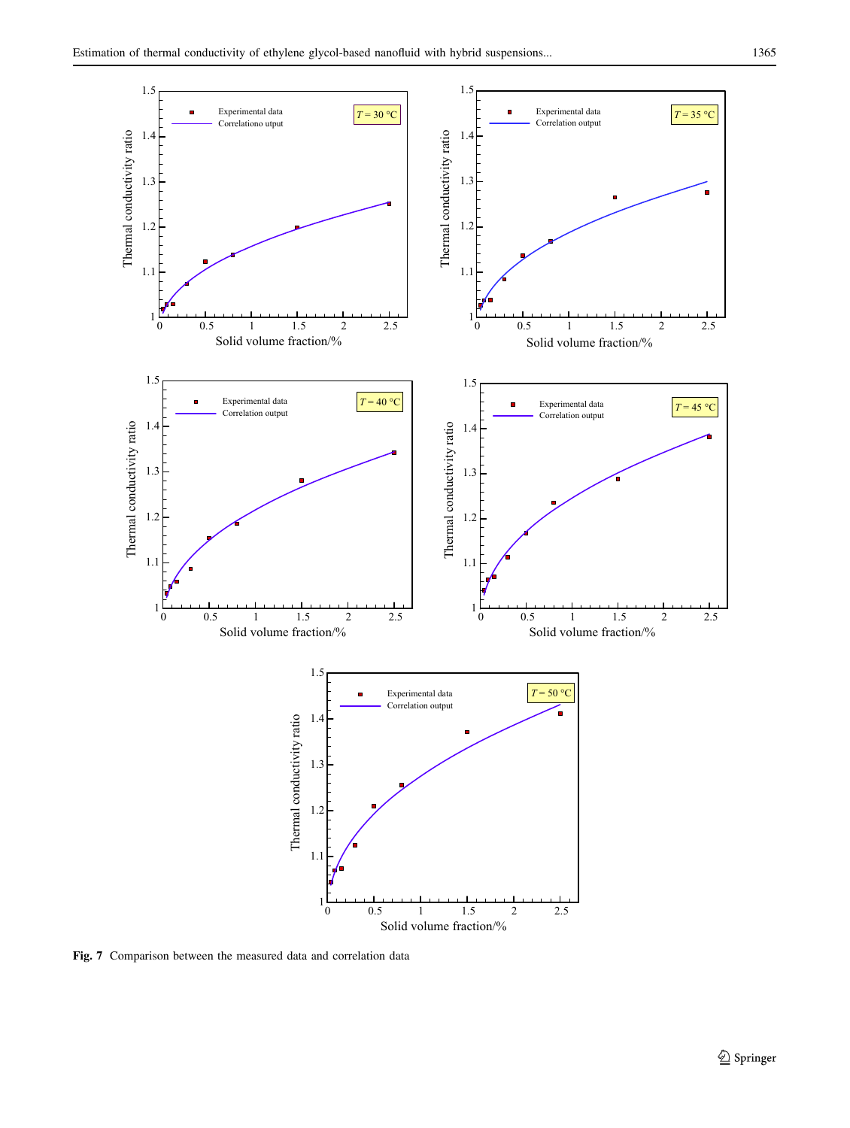<span id="page-6-0"></span>

Fig. 7 Comparison between the measured data and correlation data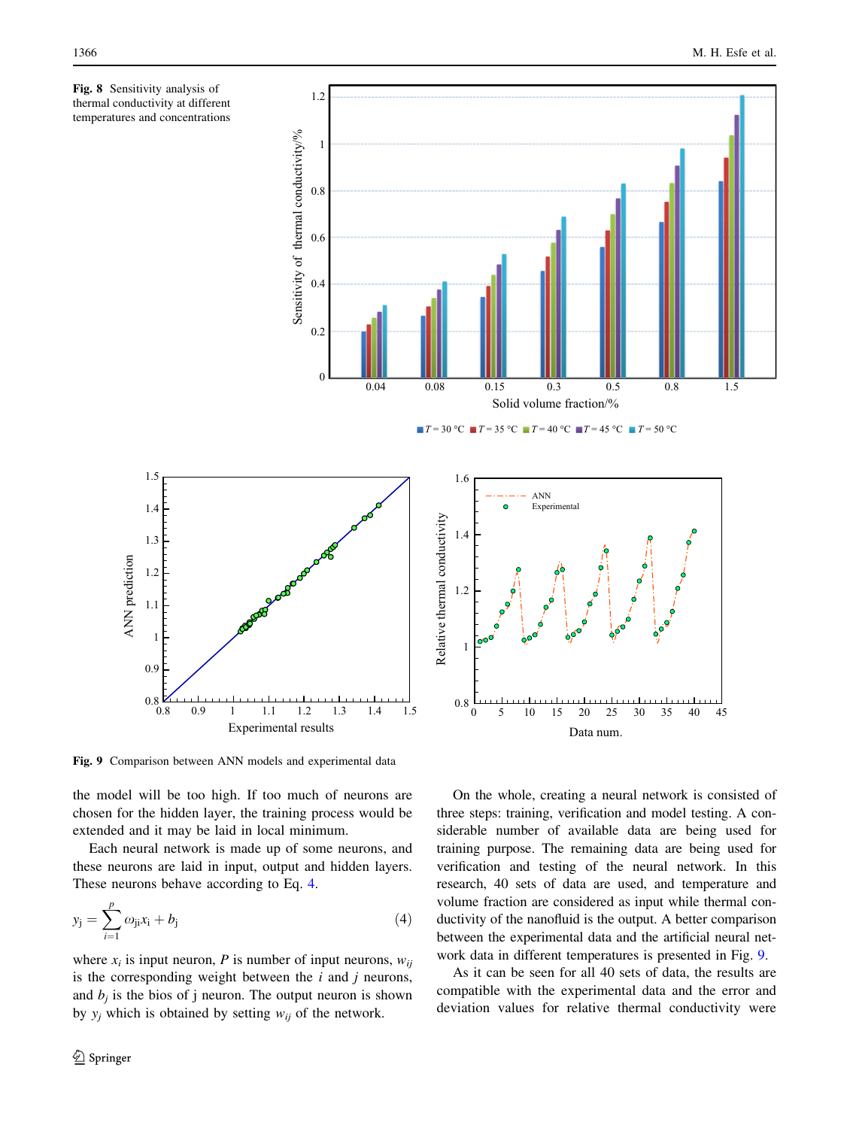<span id="page-7-0"></span>



 $T = 30 °C$  **T**  $T = 35 °C$  **T**  $T = 40 °C$  **T**  $T = 45 °C$  **T**  $T = 50 °C$ 



Fig. 9 Comparison between ANN models and experimental data

the model will be too high. If too much of neurons are chosen for the hidden layer, the training process would be extended and it may be laid in local minimum.

Each neural network is made up of some neurons, and these neurons are laid in input, output and hidden layers. These neurons behave according to Eq. 4.

$$
y_{j} = \sum_{i=1}^{p} \omega_{ji} x_{i} + b_{j}
$$
 (4)

where  $x_i$  is input neuron, P is number of input neurons,  $w_{ii}$ is the corresponding weight between the  $i$  and  $j$  neurons, and  $b_i$  is the bios of j neuron. The output neuron is shown by  $y_i$  which is obtained by setting  $w_{ii}$  of the network.



On the whole, creating a neural network is consisted of three steps: training, verification and model testing. A considerable number of available data are being used for training purpose. The remaining data are being used for verification and testing of the neural network. In this research, 40 sets of data are used, and temperature and volume fraction are considered as input while thermal conductivity of the nanofluid is the output. A better comparison between the experimental data and the artificial neural network data in different temperatures is presented in Fig. 9.

As it can be seen for all 40 sets of data, the results are compatible with the experimental data and the error and deviation values for relative thermal conductivity were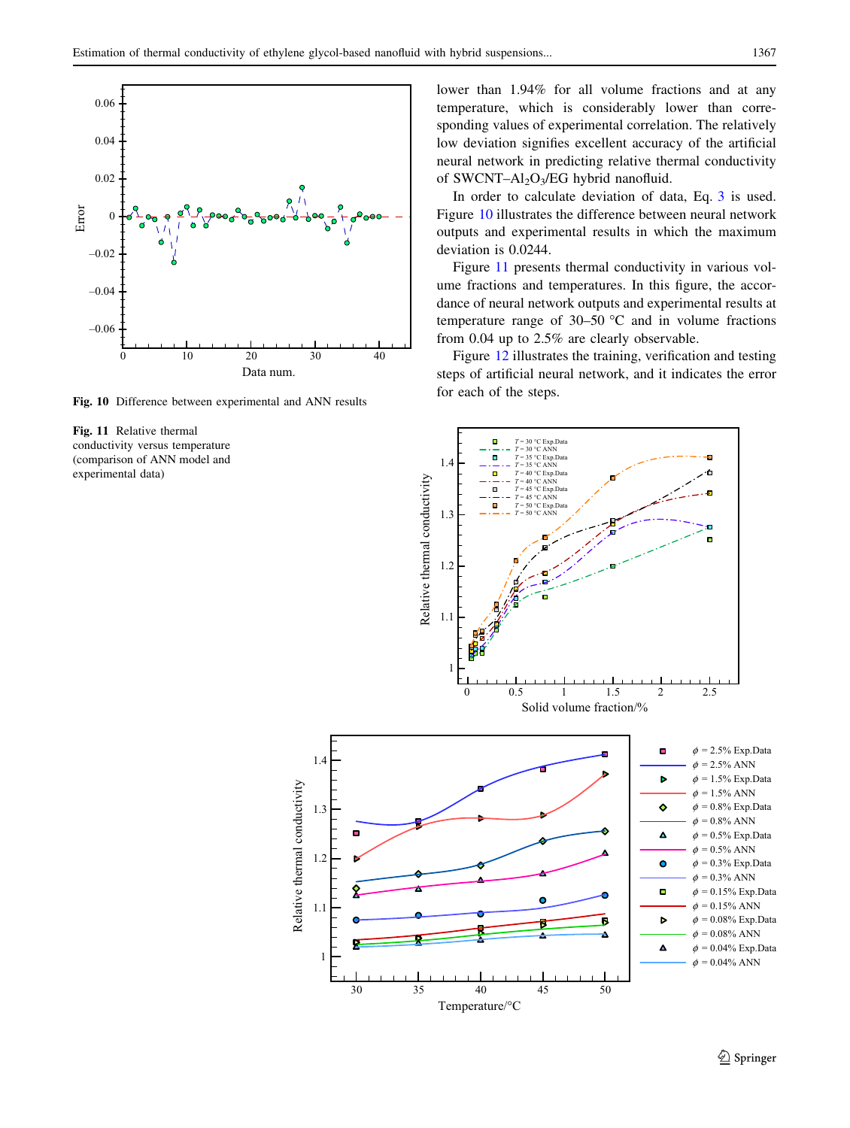

Fig. 10 Difference between experimental and ANN results

Fig. 11 Relative thermal conductivity versus temperature (comparison of ANN model and experimental data)

lower than 1.94% for all volume fractions and at any temperature, which is considerably lower than corresponding values of experimental correlation. The relatively low deviation signifies excellent accuracy of the artificial neural network in predicting relative thermal conductivity of SWCNT–Al2O3/EG hybrid nanofluid.

In order to calculate deviation of data, Eq. [3](#page-5-0) is used. Figure 10 illustrates the difference between neural network outputs and experimental results in which the maximum deviation is 0.0244.

Figure 11 presents thermal conductivity in various volume fractions and temperatures. In this figure, the accordance of neural network outputs and experimental results at temperature range of  $30-50$  °C and in volume fractions from 0.04 up to 2.5% are clearly observable.

Figure [12](#page-9-0) illustrates the training, verification and testing steps of artificial neural network, and it indicates the error for each of the steps.

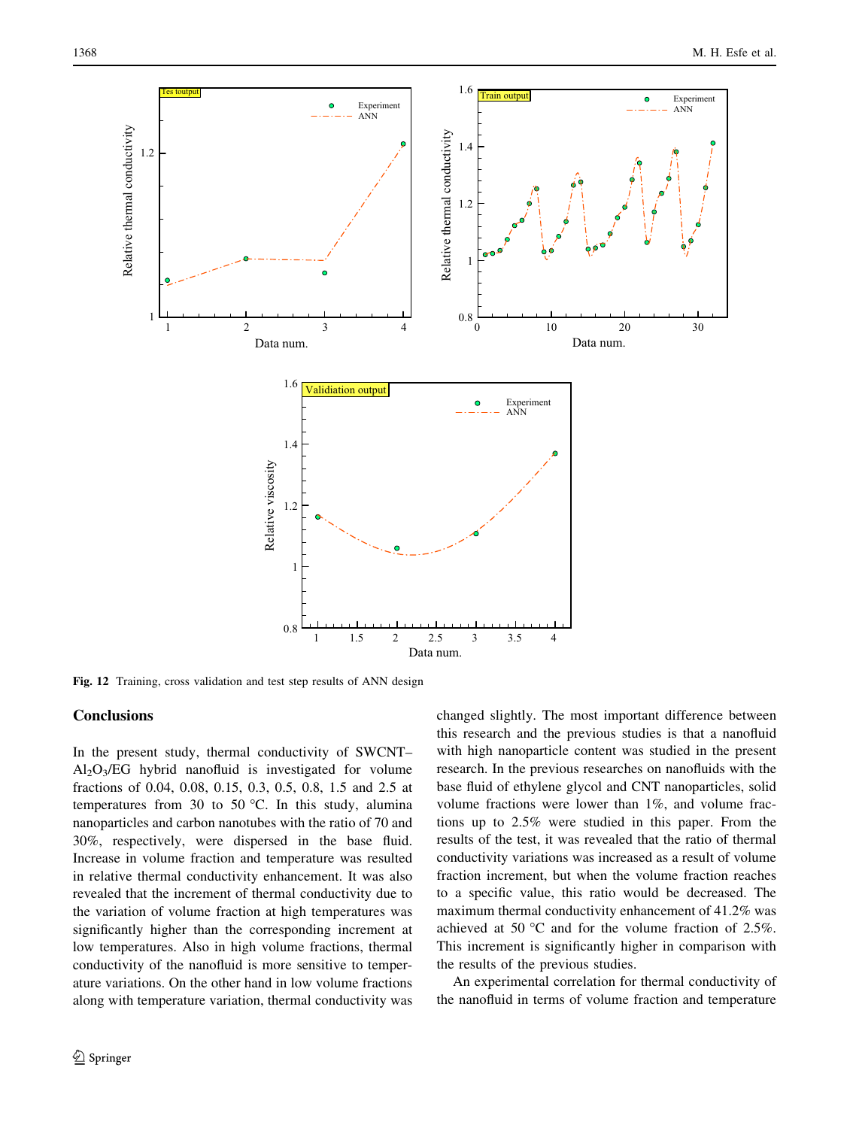<span id="page-9-0"></span>

Fig. 12 Training, cross validation and test step results of ANN design

# **Conclusions**

In the present study, thermal conductivity of SWCNT–  $Al_2O_3/EG$  hybrid nanofluid is investigated for volume fractions of 0.04, 0.08, 0.15, 0.3, 0.5, 0.8, 1.5 and 2.5 at temperatures from 30 to 50  $^{\circ}$ C. In this study, alumina nanoparticles and carbon nanotubes with the ratio of 70 and 30%, respectively, were dispersed in the base fluid. Increase in volume fraction and temperature was resulted in relative thermal conductivity enhancement. It was also revealed that the increment of thermal conductivity due to the variation of volume fraction at high temperatures was significantly higher than the corresponding increment at low temperatures. Also in high volume fractions, thermal conductivity of the nanofluid is more sensitive to temperature variations. On the other hand in low volume fractions along with temperature variation, thermal conductivity was changed slightly. The most important difference between this research and the previous studies is that a nanofluid with high nanoparticle content was studied in the present research. In the previous researches on nanofluids with the base fluid of ethylene glycol and CNT nanoparticles, solid volume fractions were lower than 1%, and volume fractions up to 2.5% were studied in this paper. From the results of the test, it was revealed that the ratio of thermal conductivity variations was increased as a result of volume fraction increment, but when the volume fraction reaches to a specific value, this ratio would be decreased. The maximum thermal conductivity enhancement of 41.2% was achieved at 50  $\degree$ C and for the volume fraction of 2.5%. This increment is significantly higher in comparison with the results of the previous studies.

An experimental correlation for thermal conductivity of the nanofluid in terms of volume fraction and temperature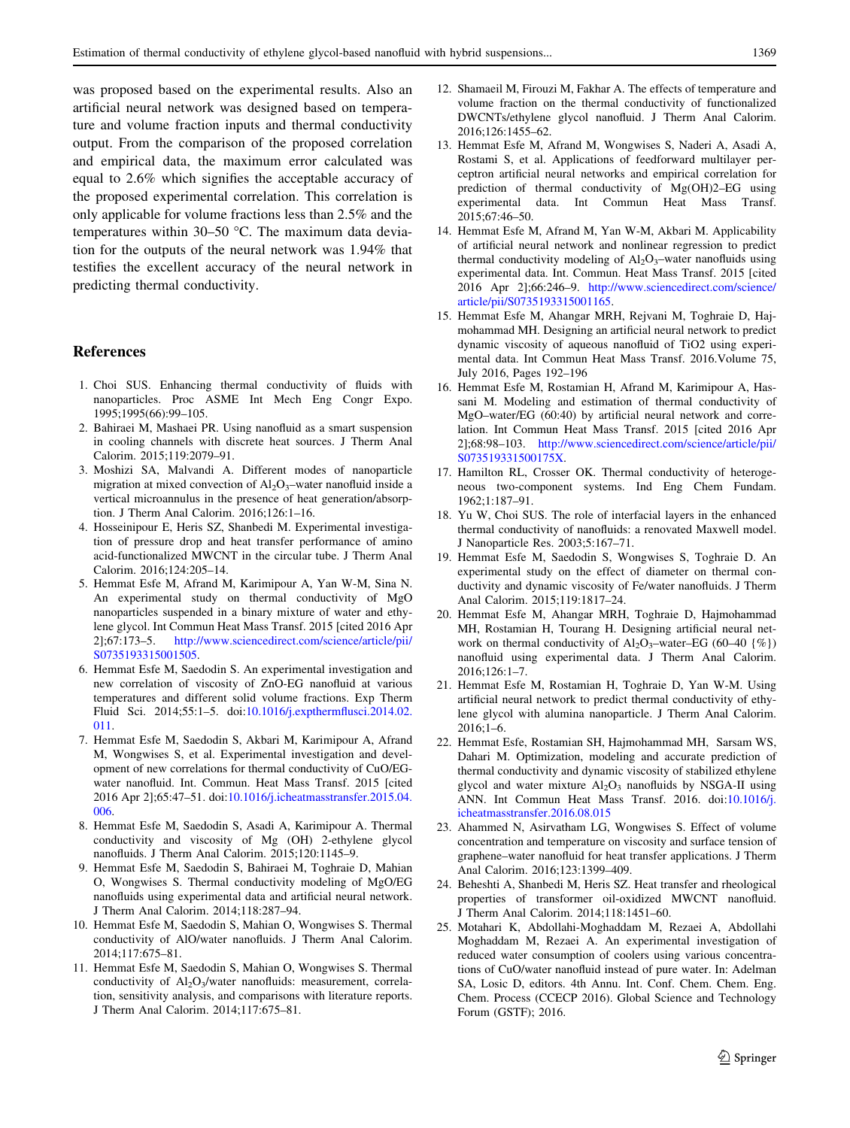<span id="page-10-0"></span>was proposed based on the experimental results. Also an artificial neural network was designed based on temperature and volume fraction inputs and thermal conductivity output. From the comparison of the proposed correlation and empirical data, the maximum error calculated was equal to 2.6% which signifies the acceptable accuracy of the proposed experimental correlation. This correlation is only applicable for volume fractions less than 2.5% and the temperatures within  $30-50$  °C. The maximum data deviation for the outputs of the neural network was 1.94% that testifies the excellent accuracy of the neural network in predicting thermal conductivity.

### References

- 1. Choi SUS. Enhancing thermal conductivity of fluids with nanoparticles. Proc ASME Int Mech Eng Congr Expo. 1995;1995(66):99–105.
- 2. Bahiraei M, Mashaei PR. Using nanofluid as a smart suspension in cooling channels with discrete heat sources. J Therm Anal Calorim. 2015;119:2079–91.
- 3. Moshizi SA, Malvandi A. Different modes of nanoparticle migration at mixed convection of  $Al_2O_3$ -water nanofluid inside a vertical microannulus in the presence of heat generation/absorption. J Therm Anal Calorim. 2016;126:1–16.
- 4. Hosseinipour E, Heris SZ, Shanbedi M. Experimental investigation of pressure drop and heat transfer performance of amino acid-functionalized MWCNT in the circular tube. J Therm Anal Calorim. 2016;124:205–14.
- 5. Hemmat Esfe M, Afrand M, Karimipour A, Yan W-M, Sina N. An experimental study on thermal conductivity of MgO nanoparticles suspended in a binary mixture of water and ethylene glycol. Int Commun Heat Mass Transf. 2015 [cited 2016 Apr 2];67:173–5. [http://www.sciencedirect.com/science/article/pii/](http://www.sciencedirect.com/science/article/pii/S0735193315001505) [S0735193315001505](http://www.sciencedirect.com/science/article/pii/S0735193315001505).
- 6. Hemmat Esfe M, Saedodin S. An experimental investigation and new correlation of viscosity of ZnO-EG nanofluid at various temperatures and different solid volume fractions. Exp Therm Fluid Sci. 2014;55:1–5. doi:[10.1016/j.expthermflusci.2014.02.](http://dx.doi.org/10.1016/j.expthermflusci.2014.02.011) [011](http://dx.doi.org/10.1016/j.expthermflusci.2014.02.011).
- 7. Hemmat Esfe M, Saedodin S, Akbari M, Karimipour A, Afrand M, Wongwises S, et al. Experimental investigation and development of new correlations for thermal conductivity of CuO/EGwater nanofluid. Int. Commun. Heat Mass Transf. 2015 [cited 2016 Apr 2];65:47–51. doi:[10.1016/j.icheatmasstransfer.2015.04.](http://dx.doi.org/10.1016/j.icheatmasstransfer.2015.04.006) [006](http://dx.doi.org/10.1016/j.icheatmasstransfer.2015.04.006).
- 8. Hemmat Esfe M, Saedodin S, Asadi A, Karimipour A. Thermal conductivity and viscosity of Mg (OH) 2-ethylene glycol nanofluids. J Therm Anal Calorim. 2015;120:1145–9.
- 9. Hemmat Esfe M, Saedodin S, Bahiraei M, Toghraie D, Mahian O, Wongwises S. Thermal conductivity modeling of MgO/EG nanofluids using experimental data and artificial neural network. J Therm Anal Calorim. 2014;118:287–94.
- 10. Hemmat Esfe M, Saedodin S, Mahian O, Wongwises S. Thermal conductivity of AlO/water nanofluids. J Therm Anal Calorim. 2014;117:675–81.
- 11. Hemmat Esfe M, Saedodin S, Mahian O, Wongwises S. Thermal conductivity of  $A$ l<sub>2</sub>O<sub>3</sub>/water nanofluids: measurement, correlation, sensitivity analysis, and comparisons with literature reports. J Therm Anal Calorim. 2014;117:675–81.
- 12. Shamaeil M, Firouzi M, Fakhar A. The effects of temperature and volume fraction on the thermal conductivity of functionalized DWCNTs/ethylene glycol nanofluid. J Therm Anal Calorim. 2016;126:1455–62.
- 13. Hemmat Esfe M, Afrand M, Wongwises S, Naderi A, Asadi A, Rostami S, et al. Applications of feedforward multilayer perceptron artificial neural networks and empirical correlation for prediction of thermal conductivity of Mg(OH)2–EG using experimental data. Int Commun Heat Mass Transf. 2015;67:46–50.
- 14. Hemmat Esfe M, Afrand M, Yan W-M, Akbari M. Applicability of artificial neural network and nonlinear regression to predict thermal conductivity modeling of  $Al_2O_3$ -water nanofluids using experimental data. Int. Commun. Heat Mass Transf. 2015 [cited 2016 Apr 2];66:246–9. [http://www.sciencedirect.com/science/](http://www.sciencedirect.com/science/article/pii/S0735193315001165) [article/pii/S0735193315001165](http://www.sciencedirect.com/science/article/pii/S0735193315001165).
- 15. Hemmat Esfe M, Ahangar MRH, Rejvani M, Toghraie D, Hajmohammad MH. Designing an artificial neural network to predict dynamic viscosity of aqueous nanofluid of TiO2 using experimental data. Int Commun Heat Mass Transf. 2016.Volume 75, July 2016, Pages 192–196
- 16. Hemmat Esfe M, Rostamian H, Afrand M, Karimipour A, Hassani M. Modeling and estimation of thermal conductivity of MgO–water/EG (60:40) by artificial neural network and correlation. Int Commun Heat Mass Transf. 2015 [cited 2016 Apr 2];68:98–103. [http://www.sciencedirect.com/science/article/pii/](http://www.sciencedirect.com/science/article/pii/S073519331500175X) [S073519331500175X.](http://www.sciencedirect.com/science/article/pii/S073519331500175X)
- 17. Hamilton RL, Crosser OK. Thermal conductivity of heterogeneous two-component systems. Ind Eng Chem Fundam. 1962;1:187–91.
- 18. Yu W, Choi SUS. The role of interfacial layers in the enhanced thermal conductivity of nanofluids: a renovated Maxwell model. J Nanoparticle Res. 2003;5:167–71.
- 19. Hemmat Esfe M, Saedodin S, Wongwises S, Toghraie D. An experimental study on the effect of diameter on thermal conductivity and dynamic viscosity of Fe/water nanofluids. J Therm Anal Calorim. 2015;119:1817–24.
- 20. Hemmat Esfe M, Ahangar MRH, Toghraie D, Hajmohammad MH, Rostamian H, Tourang H. Designing artificial neural network on thermal conductivity of  $Al_2O_3$ -water–EG (60–40  $\{\% \}$ ) nanofluid using experimental data. J Therm Anal Calorim. 2016;126:1–7.
- 21. Hemmat Esfe M, Rostamian H, Toghraie D, Yan W-M. Using artificial neural network to predict thermal conductivity of ethylene glycol with alumina nanoparticle. J Therm Anal Calorim. 2016;1–6.
- 22. Hemmat Esfe, Rostamian SH, Hajmohammad MH, Sarsam WS, Dahari M. Optimization, modeling and accurate prediction of thermal conductivity and dynamic viscosity of stabilized ethylene glycol and water mixture  $Al_2O_3$  nanofluids by NSGA-II using ANN. Int Commun Heat Mass Transf. 2016. doi:[10.1016/j.](http://dx.doi.org/10.1016/j.icheatmasstransfer.2016.08.015) [icheatmasstransfer.2016.08.015](http://dx.doi.org/10.1016/j.icheatmasstransfer.2016.08.015)
- 23. Ahammed N, Asirvatham LG, Wongwises S. Effect of volume concentration and temperature on viscosity and surface tension of graphene–water nanofluid for heat transfer applications. J Therm Anal Calorim. 2016;123:1399–409.
- 24. Beheshti A, Shanbedi M, Heris SZ. Heat transfer and rheological properties of transformer oil-oxidized MWCNT nanofluid. J Therm Anal Calorim. 2014;118:1451–60.
- 25. Motahari K, Abdollahi-Moghaddam M, Rezaei A, Abdollahi Moghaddam M, Rezaei A. An experimental investigation of reduced water consumption of coolers using various concentrations of CuO/water nanofluid instead of pure water. In: Adelman SA, Losic D, editors. 4th Annu. Int. Conf. Chem. Chem. Eng. Chem. Process (CCECP 2016). Global Science and Technology Forum (GSTF); 2016.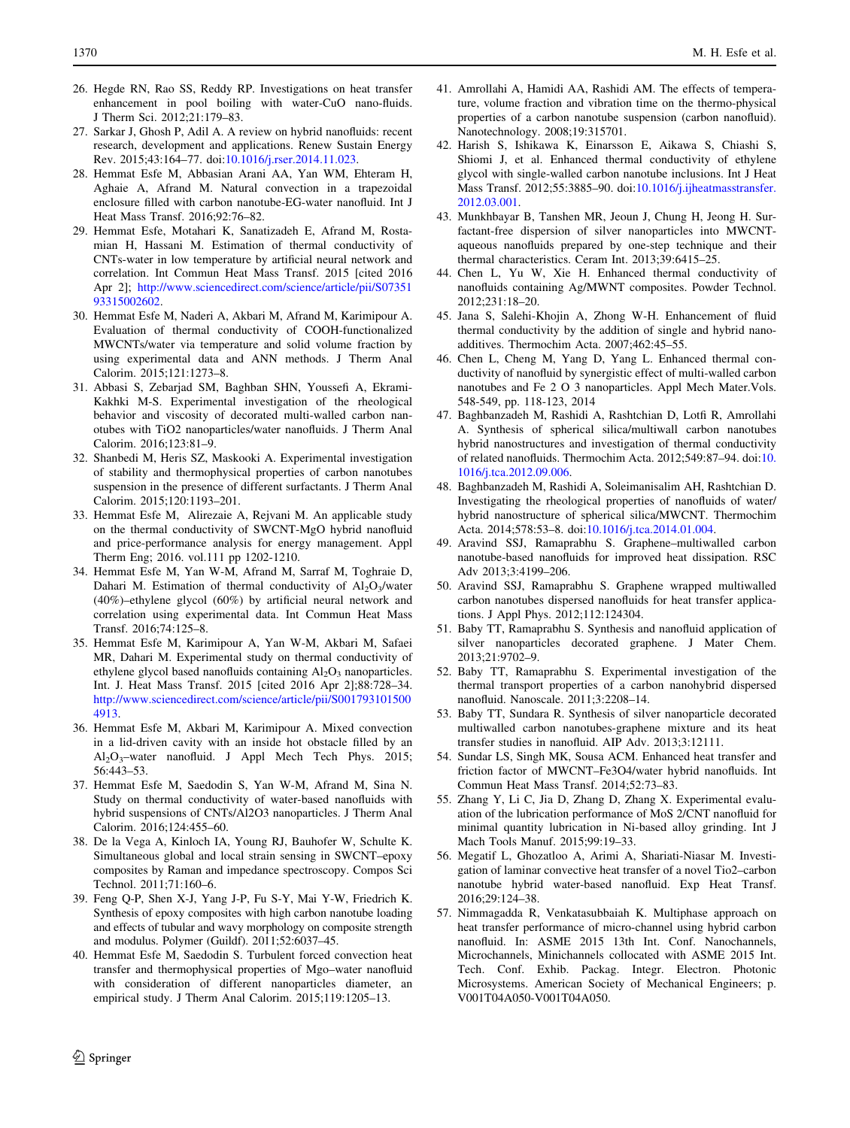- <span id="page-11-0"></span>26. Hegde RN, Rao SS, Reddy RP. Investigations on heat transfer enhancement in pool boiling with water-CuO nano-fluids. J Therm Sci. 2012;21:179–83.
- 27. Sarkar J, Ghosh P, Adil A. A review on hybrid nanofluids: recent research, development and applications. Renew Sustain Energy Rev. 2015;43:164–77. doi:[10.1016/j.rser.2014.11.023.](http://dx.doi.org/10.1016/j.rser.2014.11.023)
- 28. Hemmat Esfe M, Abbasian Arani AA, Yan WM, Ehteram H, Aghaie A, Afrand M. Natural convection in a trapezoidal enclosure filled with carbon nanotube-EG-water nanofluid. Int J Heat Mass Transf. 2016;92:76–82.
- 29. Hemmat Esfe, Motahari K, Sanatizadeh E, Afrand M, Rostamian H, Hassani M. Estimation of thermal conductivity of CNTs-water in low temperature by artificial neural network and correlation. Int Commun Heat Mass Transf. 2015 [cited 2016 Apr 2]; [http://www.sciencedirect.com/science/article/pii/S07351](http://www.sciencedirect.com/science/article/pii/S0735193315002602) [93315002602](http://www.sciencedirect.com/science/article/pii/S0735193315002602).
- 30. Hemmat Esfe M, Naderi A, Akbari M, Afrand M, Karimipour A. Evaluation of thermal conductivity of COOH-functionalized MWCNTs/water via temperature and solid volume fraction by using experimental data and ANN methods. J Therm Anal Calorim. 2015;121:1273–8.
- 31. Abbasi S, Zebarjad SM, Baghban SHN, Youssefi A, Ekrami-Kakhki M-S. Experimental investigation of the rheological behavior and viscosity of decorated multi-walled carbon nanotubes with TiO2 nanoparticles/water nanofluids. J Therm Anal Calorim. 2016;123:81–9.
- 32. Shanbedi M, Heris SZ, Maskooki A. Experimental investigation of stability and thermophysical properties of carbon nanotubes suspension in the presence of different surfactants. J Therm Anal Calorim. 2015;120:1193–201.
- 33. Hemmat Esfe M, Alirezaie A, Rejvani M. An applicable study on the thermal conductivity of SWCNT-MgO hybrid nanofluid and price-performance analysis for energy management. Appl Therm Eng; 2016. vol.111 pp 1202-1210.
- 34. Hemmat Esfe M, Yan W-M, Afrand M, Sarraf M, Toghraie D, Dahari M. Estimation of thermal conductivity of  $A1_2O_3$ /water (40%)–ethylene glycol (60%) by artificial neural network and correlation using experimental data. Int Commun Heat Mass Transf. 2016;74:125–8.
- 35. Hemmat Esfe M, Karimipour A, Yan W-M, Akbari M, Safaei MR, Dahari M. Experimental study on thermal conductivity of ethylene glycol based nanofluids containing  $Al_2O_3$  nanoparticles. Int. J. Heat Mass Transf. 2015 [cited 2016 Apr 2];88:728–34. [http://www.sciencedirect.com/science/article/pii/S001793101500](http://www.sciencedirect.com/science/article/pii/S0017931015004913) [4913.](http://www.sciencedirect.com/science/article/pii/S0017931015004913)
- 36. Hemmat Esfe M, Akbari M, Karimipour A. Mixed convection in a lid-driven cavity with an inside hot obstacle filled by an Al2O3–water nanofluid. J Appl Mech Tech Phys. 2015; 56:443–53.
- 37. Hemmat Esfe M, Saedodin S, Yan W-M, Afrand M, Sina N. Study on thermal conductivity of water-based nanofluids with hybrid suspensions of CNTs/Al2O3 nanoparticles. J Therm Anal Calorim. 2016;124:455–60.
- 38. De la Vega A, Kinloch IA, Young RJ, Bauhofer W, Schulte K. Simultaneous global and local strain sensing in SWCNT–epoxy composites by Raman and impedance spectroscopy. Compos Sci Technol. 2011;71:160–6.
- 39. Feng Q-P, Shen X-J, Yang J-P, Fu S-Y, Mai Y-W, Friedrich K. Synthesis of epoxy composites with high carbon nanotube loading and effects of tubular and wavy morphology on composite strength and modulus. Polymer (Guildf). 2011;52:6037–45.
- 40. Hemmat Esfe M, Saedodin S. Turbulent forced convection heat transfer and thermophysical properties of Mgo–water nanofluid with consideration of different nanoparticles diameter, an empirical study. J Therm Anal Calorim. 2015;119:1205–13.
- 41. Amrollahi A, Hamidi AA, Rashidi AM. The effects of temperature, volume fraction and vibration time on the thermo-physical properties of a carbon nanotube suspension (carbon nanofluid). Nanotechnology. 2008;19:315701.
- 42. Harish S, Ishikawa K, Einarsson E, Aikawa S, Chiashi S, Shiomi J, et al. Enhanced thermal conductivity of ethylene glycol with single-walled carbon nanotube inclusions. Int J Heat Mass Transf. 2012;55:3885–90. doi:[10.1016/j.ijheatmasstransfer.](http://dx.doi.org/10.1016/j.ijheatmasstransfer.2012.03.001) [2012.03.001](http://dx.doi.org/10.1016/j.ijheatmasstransfer.2012.03.001).
- 43. Munkhbayar B, Tanshen MR, Jeoun J, Chung H, Jeong H. Surfactant-free dispersion of silver nanoparticles into MWCNTaqueous nanofluids prepared by one-step technique and their thermal characteristics. Ceram Int. 2013;39:6415–25.
- 44. Chen L, Yu W, Xie H. Enhanced thermal conductivity of nanofluids containing Ag/MWNT composites. Powder Technol. 2012;231:18–20.
- 45. Jana S, Salehi-Khojin A, Zhong W-H. Enhancement of fluid thermal conductivity by the addition of single and hybrid nanoadditives. Thermochim Acta. 2007;462:45–55.
- 46. Chen L, Cheng M, Yang D, Yang L. Enhanced thermal conductivity of nanofluid by synergistic effect of multi-walled carbon nanotubes and Fe 2 O 3 nanoparticles. Appl Mech Mater.Vols. 548-549, pp. 118-123, 2014
- 47. Baghbanzadeh M, Rashidi A, Rashtchian D, Lotfi R, Amrollahi A. Synthesis of spherical silica/multiwall carbon nanotubes hybrid nanostructures and investigation of thermal conductivity of related nanofluids. Thermochim Acta. 2012;549:87–94. doi:[10.](http://dx.doi.org/10.1016/j.tca.2012.09.006) [1016/j.tca.2012.09.006.](http://dx.doi.org/10.1016/j.tca.2012.09.006)
- 48. Baghbanzadeh M, Rashidi A, Soleimanisalim AH, Rashtchian D. Investigating the rheological properties of nanofluids of water/ hybrid nanostructure of spherical silica/MWCNT. Thermochim Acta. 2014;578:53–8. doi[:10.1016/j.tca.2014.01.004](http://dx.doi.org/10.1016/j.tca.2014.01.004).
- 49. Aravind SSJ, Ramaprabhu S. Graphene–multiwalled carbon nanotube-based nanofluids for improved heat dissipation. RSC Adv 2013;3:4199–206.
- 50. Aravind SSJ, Ramaprabhu S. Graphene wrapped multiwalled carbon nanotubes dispersed nanofluids for heat transfer applications. J Appl Phys. 2012;112:124304.
- 51. Baby TT, Ramaprabhu S. Synthesis and nanofluid application of silver nanoparticles decorated graphene. J Mater Chem. 2013;21:9702–9.
- 52. Baby TT, Ramaprabhu S. Experimental investigation of the thermal transport properties of a carbon nanohybrid dispersed nanofluid. Nanoscale. 2011;3:2208–14.
- 53. Baby TT, Sundara R. Synthesis of silver nanoparticle decorated multiwalled carbon nanotubes-graphene mixture and its heat transfer studies in nanofluid. AIP Adv. 2013;3:12111.
- 54. Sundar LS, Singh MK, Sousa ACM. Enhanced heat transfer and friction factor of MWCNT–Fe3O4/water hybrid nanofluids. Int Commun Heat Mass Transf. 2014;52:73–83.
- 55. Zhang Y, Li C, Jia D, Zhang D, Zhang X. Experimental evaluation of the lubrication performance of MoS 2/CNT nanofluid for minimal quantity lubrication in Ni-based alloy grinding. Int J Mach Tools Manuf. 2015;99:19–33.
- 56. Megatif L, Ghozatloo A, Arimi A, Shariati-Niasar M. Investigation of laminar convective heat transfer of a novel Tio2–carbon nanotube hybrid water-based nanofluid. Exp Heat Transf. 2016;29:124–38.
- 57. Nimmagadda R, Venkatasubbaiah K. Multiphase approach on heat transfer performance of micro-channel using hybrid carbon nanofluid. In: ASME 2015 13th Int. Conf. Nanochannels, Microchannels, Minichannels collocated with ASME 2015 Int. Tech. Conf. Exhib. Packag. Integr. Electron. Photonic Microsystems. American Society of Mechanical Engineers; p. V001T04A050-V001T04A050.